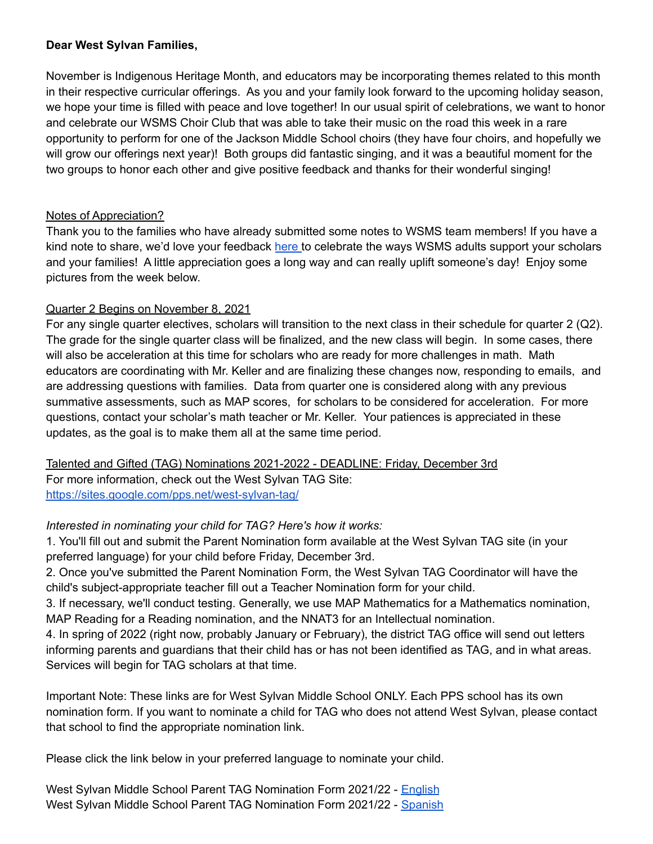### **Dear West Sylvan Families,**

November is Indigenous Heritage Month, and educators may be incorporating themes related to this month in their respective curricular offerings. As you and your family look forward to the upcoming holiday season, we hope your time is filled with peace and love together! In our usual spirit of celebrations, we want to honor and celebrate our WSMS Choir Club that was able to take their music on the road this week in a rare opportunity to perform for one of the Jackson Middle School choirs (they have four choirs, and hopefully we will grow our offerings next year)! Both groups did fantastic singing, and it was a beautiful moment for the two groups to honor each other and give positive feedback and thanks for their wonderful singing!

# Notes of Appreciation?

Thank you to the families who have already submitted some notes to WSMS team members! If you have a kind note to share, we'd love your feedback [here](https://forms.gle/3TsJKYDfcfbLhiKu7) to celebrate the ways WSMS adults support your scholars and your families! A little appreciation goes a long way and can really uplift someone's day! Enjoy some pictures from the week below.

# Quarter 2 Begins on November 8, 2021

For any single quarter electives, scholars will transition to the next class in their schedule for quarter 2 (Q2). The grade for the single quarter class will be finalized, and the new class will begin. In some cases, there will also be acceleration at this time for scholars who are ready for more challenges in math. Math educators are coordinating with Mr. Keller and are finalizing these changes now, responding to emails, and are addressing questions with families. Data from quarter one is considered along with any previous summative assessments, such as MAP scores, for scholars to be considered for acceleration. For more questions, contact your scholar's math teacher or Mr. Keller. Your patiences is appreciated in these updates, as the goal is to make them all at the same time period.

Talented and Gifted (TAG) Nominations 2021-2022 - DEADLINE: Friday, December 3rd For more information, check out the West Sylvan TAG Site: <https://sites.google.com/pps.net/west-sylvan-tag/>

# *Interested in nominating your child for TAG? Here's how it works:*

1. You'll fill out and submit the Parent Nomination form available at the West Sylvan TAG site (in your preferred language) for your child before Friday, December 3rd.

2. Once you've submitted the Parent Nomination Form, the West Sylvan TAG Coordinator will have the child's subject-appropriate teacher fill out a Teacher Nomination form for your child.

3. If necessary, we'll conduct testing. Generally, we use MAP Mathematics for a Mathematics nomination, MAP Reading for a Reading nomination, and the NNAT3 for an Intellectual nomination.

4. In spring of 2022 (right now, probably January or February), the district TAG office will send out letters informing parents and guardians that their child has or has not been identified as TAG, and in what areas. Services will begin for TAG scholars at that time.

Important Note: These links are for West Sylvan Middle School ONLY. Each PPS school has its own nomination form. If you want to nominate a child for TAG who does not attend West Sylvan, please contact that school to find the appropriate nomination link.

Please click the link below in your preferred language to nominate your child.

West Sylvan Middle School Parent TAG Nomination Form 2021/22 - [English](https://forms.gle/oKdyah1MXX1eN8WB6) West Sylvan Middle School Parent TAG Nomination Form 2021/22 - [Spanish](https://forms.gle/b6VJZP69C2gqsgN3A)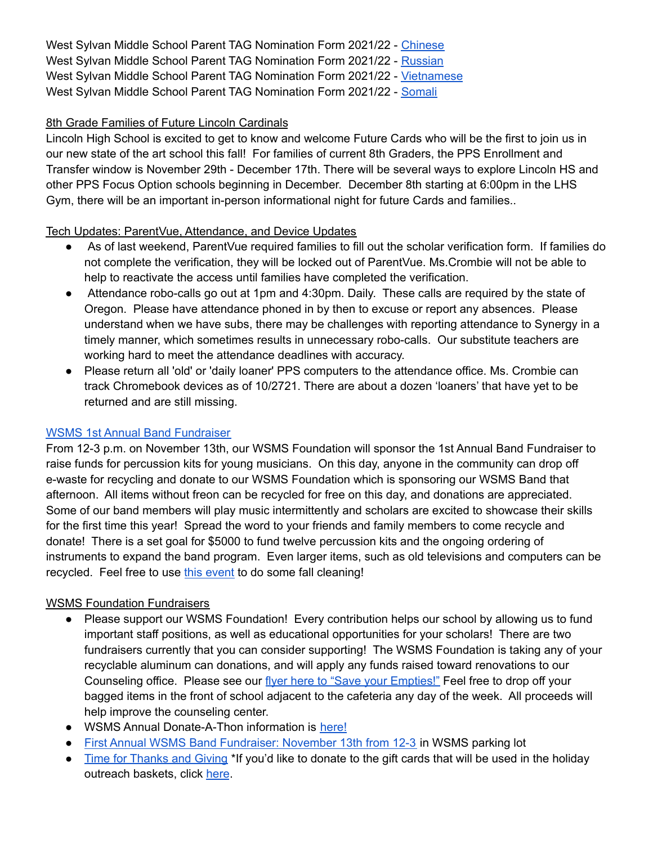West Sylvan Middle School Parent TAG Nomination Form 2021/22 - [Chinese](https://forms.gle/xd5drKJcwbqSYQXAA) West Sylvan Middle School Parent TAG Nomination Form 2021/22 - [Russian](https://forms.gle/LmChwsdKZ1svWoB76) West Sylvan Middle School Parent TAG Nomination Form 2021/22 - [Vietnamese](https://forms.gle/2sEfWP7EReDPZzRV7) West Sylvan Middle School Parent TAG Nomination Form 2021/22 - [Somali](https://forms.gle/F4QvUYHYnHJEBtNMA)

# 8th Grade Families of Future Lincoln Cardinals

Lincoln High School is excited to get to know and welcome Future Cards who will be the first to join us in our new state of the art school this fall! For families of current 8th Graders, the PPS Enrollment and Transfer window is November 29th - December 17th. There will be several ways to explore Lincoln HS and other PPS Focus Option schools beginning in December. December 8th starting at 6:00pm in the LHS Gym, there will be an important in-person informational night for future Cards and families..

# Tech Updates: ParentVue, Attendance, and Device Updates

- As of last weekend, ParentVue required families to fill out the scholar verification form. If families do not complete the verification, they will be locked out of ParentVue. Ms.Crombie will not be able to help to reactivate the access until families have completed the verification.
- Attendance robo-calls go out at 1pm and 4:30pm. Daily. These calls are required by the state of Oregon. Please have attendance phoned in by then to excuse or report any absences. Please understand when we have subs, there may be challenges with reporting attendance to Synergy in a timely manner, which sometimes results in unnecessary robo-calls. Our substitute teachers are working hard to meet the attendance deadlines with accuracy.
- Please return all 'old' or 'daily loaner' PPS computers to the attendance office. Ms. Crombie can track Chromebook devices as of 10/2721. There are about a dozen 'loaners' that have yet to be returned and are still missing.

# WSMS 1st Annual Band [Fundraiser](https://drive.google.com/file/d/19ER_E2cYfBkO8GXwntDaTRpTDkRijdNU/view?usp=sharing)

From 12-3 p.m. on November 13th, our WSMS Foundation will sponsor the 1st Annual Band Fundraiser to raise funds for percussion kits for young musicians. On this day, anyone in the community can drop off e-waste for recycling and donate to our WSMS Foundation which is sponsoring our WSMS Band that afternoon. All items without freon can be recycled for free on this day, and donations are appreciated. Some of our band members will play music intermittently and scholars are excited to showcase their skills for the first time this year! Spread the word to your friends and family members to come recycle and donate! There is a set goal for \$5000 to fund twelve percussion kits and the ongoing ordering of instruments to expand the band program. Even larger items, such as old televisions and computers can be recycled. Feel free to use this [event](https://drive.google.com/file/d/19ER_E2cYfBkO8GXwntDaTRpTDkRijdNU/view?usp=sharing) to do some fall cleaning!

# WSMS Foundation Fundraisers

- Please support our WSMS Foundation! Every contribution helps our school by allowing us to fund important staff positions, as well as educational opportunities for your scholars! There are two fundraisers currently that you can consider supporting! The WSMS Foundation is taking any of your recyclable aluminum can donations, and will apply any funds raised toward renovations to our Counseling office. Please see our flyer here to "Save your [Empties!"](https://drive.google.com/file/d/1QXOTJmEblkxG_rK04tEK5aEuwcpa-NT4/view?usp=sharing) Feel free to drop off your bagged items in the front of school adjacent to the cafeteria any day of the week. All proceeds will help improve the counseling center.
- WSMS Annual Donate-A-Thon information is [here!](https://drive.google.com/file/d/1T0ze3mXgCB1RPrT9D9GlBjXWPA_OPBUP/view?usp=sharing)
- First Annual WSMS Band [Fundraiser:](https://drive.google.com/file/d/19ER_E2cYfBkO8GXwntDaTRpTDkRijdNU/view?usp=sharing) November 13th from 12-3 in WSMS parking lot
- Time for [Thanks](https://drive.google.com/open?id=1fleZYkH4JPHqT9TmcV8JakHCRTChEZIX) and Giving \*If you'd like to donate to the gift cards that will be used in the holiday outreach baskets, click [here](https://www.schoolpay.com/pay/for/Community-Outreach-Donation/SeuPKmp).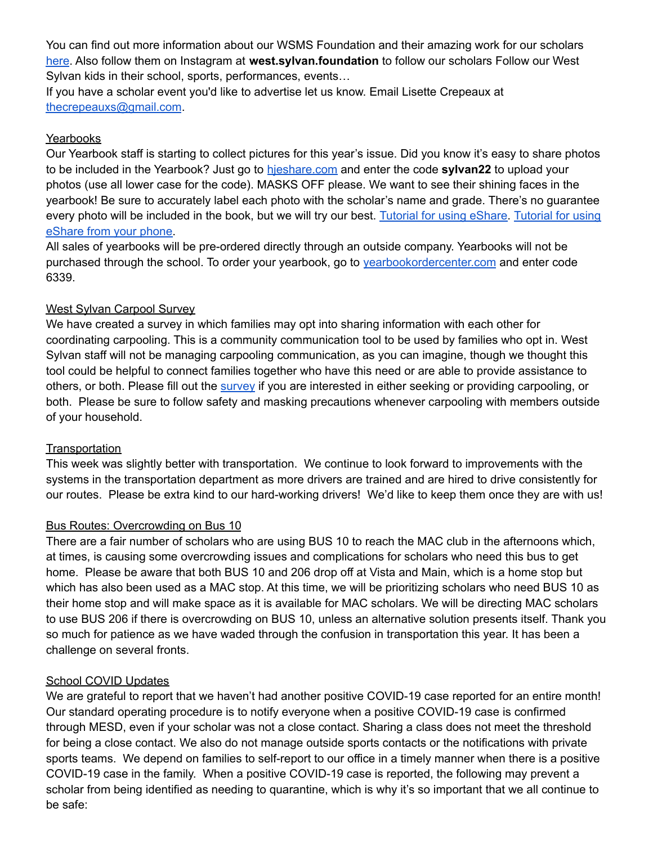You can find out more information about our WSMS Foundation and their amazing work for our scholars [here](https://www.westsylvanfoundation.com/). Also follow them on Instagram at **west.sylvan.foundation** to follow our scholars Follow our West Sylvan kids in their school, sports, performances, events…

If you have a scholar event you'd like to advertise let us know. Email Lisette Crepeaux at [thecrepeauxs@gmail.com](mailto:thecrepeauxs@gmail.com).

## **Yearbooks**

Our Yearbook staff is starting to collect pictures for this year's issue. Did you know it's easy to share photos to be included in the Yearbook? Just go to [hjeshare.com](https://hjeshare.com/eShare/) and enter the code **sylvan22** to upload your photos (use all lower case for the code). MASKS OFF please. We want to see their shining faces in the yearbook! Be sure to accurately label each photo with the scholar's name and grade. There's no guarantee every photo will be included in the book, but we will try our best. [Tutorial](https://herffjones.wistia.com/medias/62ap3qbbp3) for using eShare. Tutorial for using [eShare](https://herffjones.wistia.com/medias/62ap3qbbp3) from your phone.

All sales of yearbooks will be pre-ordered directly through an outside company. Yearbooks will not be purchased through the school. To order your yearbook, go to [yearbookordercenter.com](http://yearbookordercenter.com) and enter code 6339.

### West Sylvan Carpool Survey

We have created a survey in which families may opt into sharing information with each other for coordinating carpooling. This is a community communication tool to be used by families who opt in. West Sylvan staff will not be managing carpooling communication, as you can imagine, though we thought this tool could be helpful to connect families together who have this need or are able to provide assistance to others, or both. Please fill out the [survey](https://forms.gle/kBphkhYJcXz347qv7) if you are interested in either seeking or providing carpooling, or both. Please be sure to follow safety and masking precautions whenever carpooling with members outside of your household.

### **Transportation**

This week was slightly better with transportation. We continue to look forward to improvements with the systems in the transportation department as more drivers are trained and are hired to drive consistently for our routes. Please be extra kind to our hard-working drivers! We'd like to keep them once they are with us!

# Bus Routes: Overcrowding on Bus 10

There are a fair number of scholars who are using BUS 10 to reach the MAC club in the afternoons which, at times, is causing some overcrowding issues and complications for scholars who need this bus to get home. Please be aware that both BUS 10 and 206 drop off at Vista and Main, which is a home stop but which has also been used as a MAC stop. At this time, we will be prioritizing scholars who need BUS 10 as their home stop and will make space as it is available for MAC scholars. We will be directing MAC scholars to use BUS 206 if there is overcrowding on BUS 10, unless an alternative solution presents itself. Thank you so much for patience as we have waded through the confusion in transportation this year. It has been a challenge on several fronts.

### School COVID Updates

We are grateful to report that we haven't had another positive COVID-19 case reported for an entire month! Our standard operating procedure is to notify everyone when a positive COVID-19 case is confirmed through MESD, even if your scholar was not a close contact. Sharing a class does not meet the threshold for being a close contact. We also do not manage outside sports contacts or the notifications with private sports teams. We depend on families to self-report to our office in a timely manner when there is a positive COVID-19 case in the family. When a positive COVID-19 case is reported, the following may prevent a scholar from being identified as needing to quarantine, which is why it's so important that we all continue to be safe: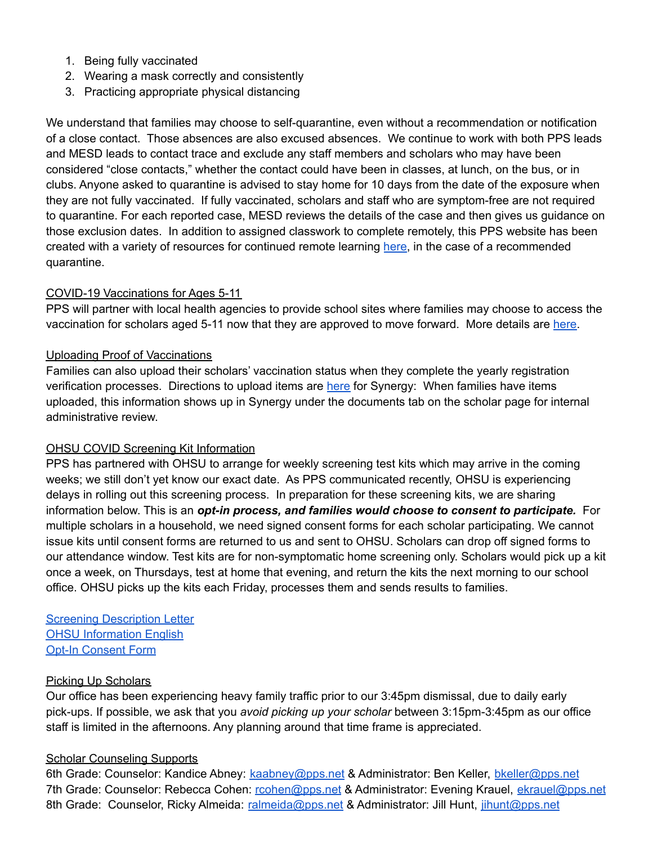- 1. Being fully vaccinated
- 2. Wearing a mask correctly and consistently
- 3. Practicing appropriate physical distancing

We understand that families may choose to self-quarantine, even without a recommendation or notification of a close contact. Those absences are also excused absences. We continue to work with both PPS leads and MESD leads to contact trace and exclude any staff members and scholars who may have been considered "close contacts," whether the contact could have been in classes, at lunch, on the bus, or in clubs. Anyone asked to quarantine is advised to stay home for 10 days from the date of the exposure when they are not fully vaccinated. If fully vaccinated, scholars and staff who are symptom-free are not required to quarantine. For each reported case, MESD reviews the details of the case and then gives us guidance on those exclusion dates. In addition to assigned classwork to complete remotely, this PPS website has been created with a variety of resources for continued remote learning [here,](https://sites.google.com/pps.net/ppsquarantinelessons/home?authuser=0) in the case of a recommended quarantine.

### COVID-19 Vaccinations for Ages 5-11

PPS will partner with local health agencies to provide school sites where families may choose to access the vaccination for scholars aged 5-11 now that they are approved to move forward. More details are [here.](https://www.pps.net/site/default.aspx?PageType=3&DomainID=4&ModuleInstanceID=1492&PageModuleInstanceID=1594&ViewID=ad4d6d9d-7046-48e7-a548-a6a23a68d076&RenderLoc=0&FlexDataID=173571&PageID=1)

### Uploading Proof of Vaccinations

Families can also upload their scholars' vaccination status when they complete the yearly registration verification processes. Directions to upload items are [here](https://docs.google.com/document/d/1AxHhVVEjAqJxV1Vuh9PnfwkZHcp-Tde_x6iFOOEy58Y/edit) for Synergy: When families have items uploaded, this information shows up in Synergy under the documents tab on the scholar page for internal administrative review.

### OHSU COVID Screening Kit Information

PPS has partnered with OHSU to arrange for weekly screening test kits which may arrive in the coming weeks; we still don't yet know our exact date. As PPS communicated recently, OHSU is experiencing delays in rolling out this screening process. In preparation for these screening kits, we are sharing information below. This is an *opt-in process, and families would choose to consent to participate.* For multiple scholars in a household, we need signed consent forms for each scholar participating. We cannot issue kits until consent forms are returned to us and sent to OHSU. Scholars can drop off signed forms to our attendance window. Test kits are for non-symptomatic home screening only. Scholars would pick up a kit once a week, on Thursdays, test at home that evening, and return the kits the next morning to our school office. OHSU picks up the kits each Friday, processes them and sends results to families.

Screening [Description](https://drive.google.com/file/d/12Z90ONF4FucYQEY1m9-dirsQF39L4si-/view?usp=sharing) Letter **OHSU [Information](https://drive.google.com/file/d/1c68pUs3D8wSuSpbB4BtpkbXNDaAs5TOt/view?usp=sharing) English** Opt-In [Consent](https://drive.google.com/file/d/1NKzp7NpCNYH5kn2GMiXyKcxuNDartL3g/view?usp=sharing) Form

### Picking Up Scholars

Our office has been experiencing heavy family traffic prior to our 3:45pm dismissal, due to daily early pick-ups. If possible, we ask that you *avoid picking up your scholar* between 3:15pm-3:45pm as our office staff is limited in the afternoons. Any planning around that time frame is appreciated.

### Scholar Counseling Supports

6th Grade: Counselor: Kandice Abney: [kaabney@pps.net](mailto:kaabney@pps.net) & Administrator: Ben Keller, [bkeller@pps.net](mailto:bkeller@pps.net) 7th Grade: Counselor: Rebecca Cohen: [rcohen@pps.net](mailto:rcohen@pps.net) & Administrator: Evening Krauel, [ekrauel@pps.net](mailto:ekrauel@pps.net) 8th Grade: Counselor, Ricky Almeida: [ralmeida@pps.net](mailto:ralmeida@pps.net) & Administrator: Jill Hunt, [jihunt@pps.net](mailto:jihunt@pps.net)